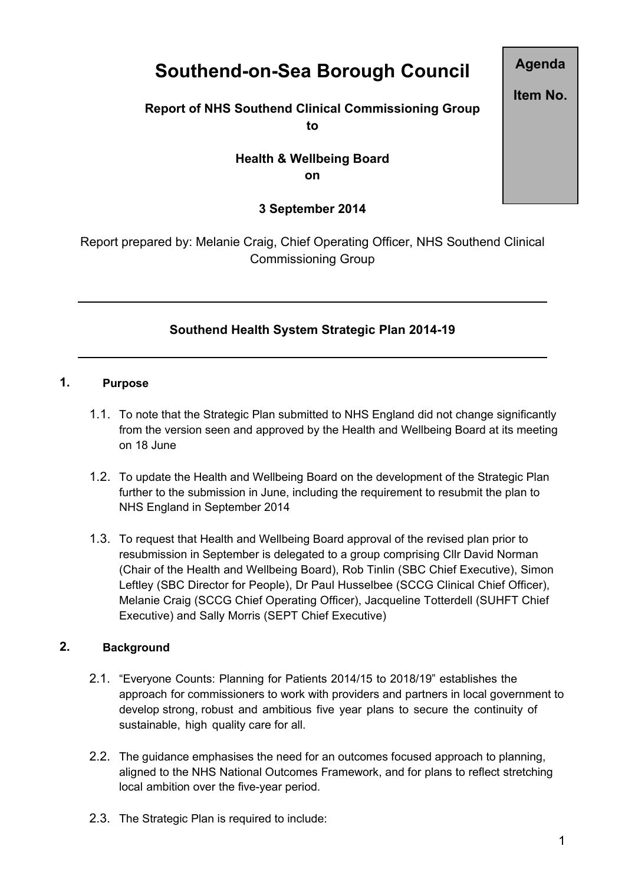# **Southend-on-Sea Borough Council**

### **Report of NHS Southend Clinical Commissioning Group to**

## **Health & Wellbeing Board on**

### **3 September 2014**

Report prepared by: Melanie Craig, Chief Operating Officer, NHS Southend Clinical Commissioning Group

# **Southend Health System Strategic Plan 2014-19**

#### **1. Purpose**

- 1.1. To note that the Strategic Plan submitted to NHS England did not change significantly from the version seen and approved by the Health and Wellbeing Board at its meeting on 18 June
- 1.2. To update the Health and Wellbeing Board on the development of the Strategic Plan further to the submission in June, including the requirement to resubmit the plan to NHS England in September 2014
- 1.3. To request that Health and Wellbeing Board approval of the revised plan prior to resubmission in September is delegated to a group comprising Cllr David Norman (Chair of the Health and Wellbeing Board), Rob Tinlin (SBC Chief Executive), Simon Leftley (SBC Director for People), Dr Paul Husselbee (SCCG Clinical Chief Officer), Melanie Craig (SCCG Chief Operating Officer), Jacqueline Totterdell (SUHFT Chief Executive) and Sally Morris (SEPT Chief Executive)

#### **2. Background**

- 2.1. "Everyone Counts: Planning for Patients 2014/15 to 2018/19" establishes the approach for commissioners to work with providers and partners in local government to develop strong, robust and ambitious five year plans to secure the continuity of sustainable, high quality care for all.
- 2.2. The guidance emphasises the need for an outcomes focused approach to planning, aligned to the NHS National Outcomes Framework, and for plans to reflect stretching local ambition over the five-year period.
- 2.3. The Strategic Plan is required to include:

1

**Agenda**

**Item No.**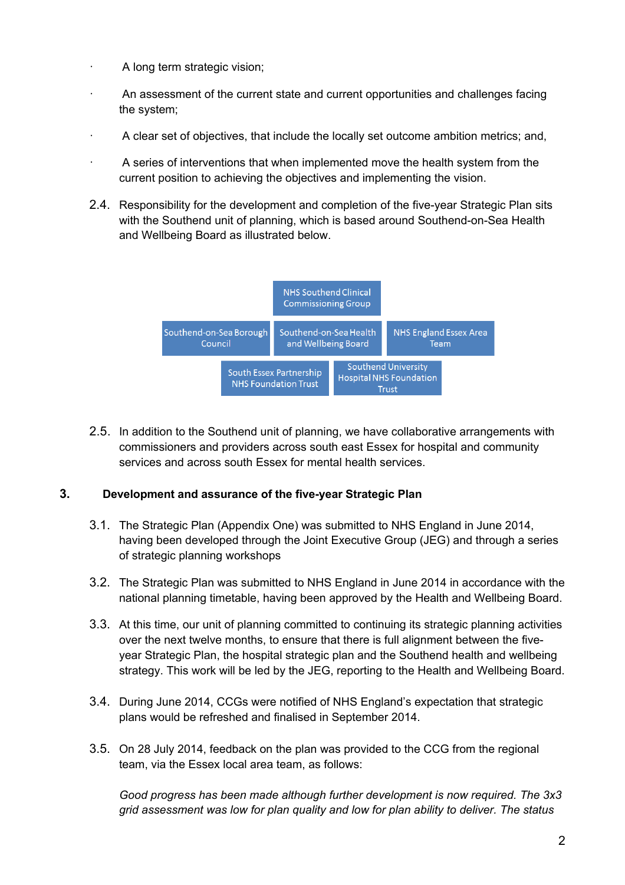- A long term strategic vision;
- · An assessment of the current state and current opportunities and challenges facing the system;
- · A clear set of objectives, that include the locally set outcome ambition metrics; and,
- A series of interventions that when implemented move the health system from the current position to achieving the objectives and implementing the vision.
- 2.4. Responsibility for the development and completion of the five-year Strategic Plan sits with the Southend unit of planning, which is based around Southend-on-Sea Health and Wellbeing Board as illustrated below.



2.5. In addition to the Southend unit of planning, we have collaborative arrangements with commissioners and providers across south east Essex for hospital and community services and across south Essex for mental health services.

#### **3. Development and assurance of the five-year Strategic Plan**

- 3.1. The Strategic Plan (Appendix One) was submitted to NHS England in June 2014, having been developed through the Joint Executive Group (JEG) and through a series of strategic planning workshops
- 3.2. The Strategic Plan was submitted to NHS England in June 2014 in accordance with the national planning timetable, having been approved by the Health and Wellbeing Board.
- 3.3. At this time, our unit of planning committed to continuing its strategic planning activities over the next twelve months, to ensure that there is full alignment between the fiveyear Strategic Plan, the hospital strategic plan and the Southend health and wellbeing strategy. This work will be led by the JEG, reporting to the Health and Wellbeing Board.
- 3.4. During June 2014, CCGs were notified of NHS England's expectation that strategic plans would be refreshed and finalised in September 2014.
- 3.5. On 28 July 2014, feedback on the plan was provided to the CCG from the regional team, via the Essex local area team, as follows:

*Good progress has been made although further development is now required. The 3x3 grid assessment was low for plan quality and low for plan ability to deliver. The status*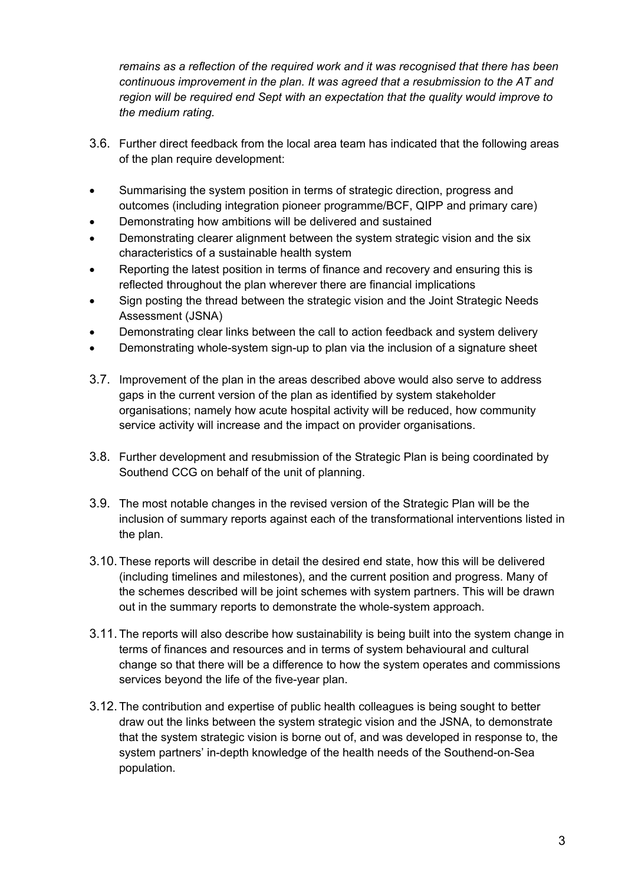*remains as a reflection of the required work and it was recognised that there has been continuous improvement in the plan. It was agreed that a resubmission to the AT and region will be required end Sept with an expectation that the quality would improve to the medium rating.*

- 3.6. Further direct feedback from the local area team has indicated that the following areas of the plan require development:
- Summarising the system position in terms of strategic direction, progress and outcomes (including integration pioneer programme/BCF, QIPP and primary care)
- Demonstrating how ambitions will be delivered and sustained
- Demonstrating clearer alignment between the system strategic vision and the six characteristics of a sustainable health system
- Reporting the latest position in terms of finance and recovery and ensuring this is reflected throughout the plan wherever there are financial implications
- Sign posting the thread between the strategic vision and the Joint Strategic Needs Assessment (JSNA)
- Demonstrating clear links between the call to action feedback and system delivery
- Demonstrating whole-system sign-up to plan via the inclusion of a signature sheet
- 3.7. Improvement of the plan in the areas described above would also serve to address gaps in the current version of the plan as identified by system stakeholder organisations; namely how acute hospital activity will be reduced, how community service activity will increase and the impact on provider organisations.
- 3.8. Further development and resubmission of the Strategic Plan is being coordinated by Southend CCG on behalf of the unit of planning.
- 3.9. The most notable changes in the revised version of the Strategic Plan will be the inclusion of summary reports against each of the transformational interventions listed in the plan.
- 3.10. These reports will describe in detail the desired end state, how this will be delivered (including timelines and milestones), and the current position and progress. Many of the schemes described will be joint schemes with system partners. This will be drawn out in the summary reports to demonstrate the whole-system approach.
- 3.11. The reports will also describe how sustainability is being built into the system change in terms of finances and resources and in terms of system behavioural and cultural change so that there will be a difference to how the system operates and commissions services beyond the life of the five-year plan.
- 3.12. The contribution and expertise of public health colleagues is being sought to better draw out the links between the system strategic vision and the JSNA, to demonstrate that the system strategic vision is borne out of, and was developed in response to, the system partners' in-depth knowledge of the health needs of the Southend-on-Sea population.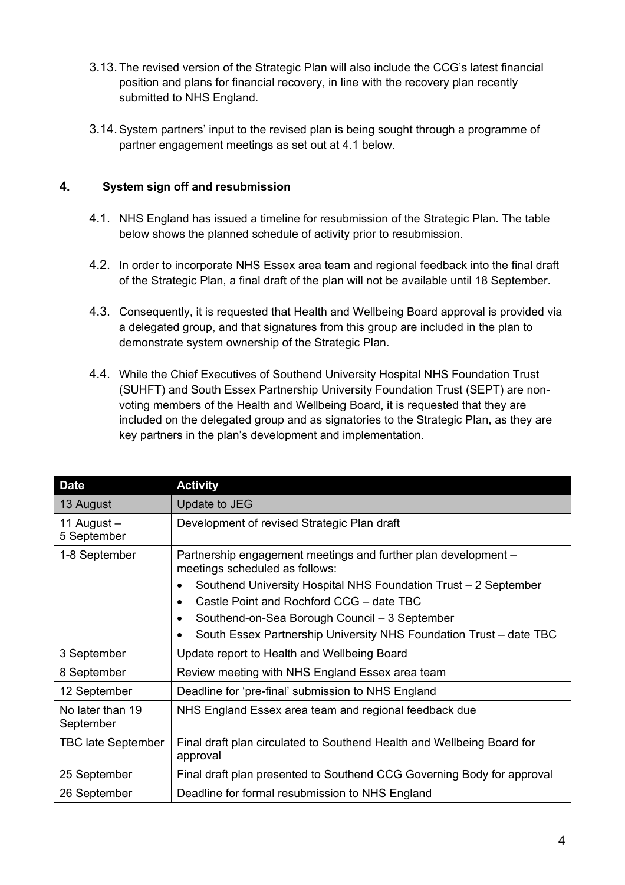- 3.13. The revised version of the Strategic Plan will also include the CCG's latest financial position and plans for financial recovery, in line with the recovery plan recently submitted to NHS England.
- 3.14.System partners' input to the revised plan is being sought through a programme of partner engagement meetings as set out at 4.1 below.

#### **4. System sign off and resubmission**

- 4.1. NHS England has issued a timeline for resubmission of the Strategic Plan. The table below shows the planned schedule of activity prior to resubmission.
- 4.2. In order to incorporate NHS Essex area team and regional feedback into the final draft of the Strategic Plan, a final draft of the plan will not be available until 18 September.
- 4.3. Consequently, it is requested that Health and Wellbeing Board approval is provided via a delegated group, and that signatures from this group are included in the plan to demonstrate system ownership of the Strategic Plan.
- 4.4. While the Chief Executives of Southend University Hospital NHS Foundation Trust (SUHFT) and South Essex Partnership University Foundation Trust (SEPT) are nonvoting members of the Health and Wellbeing Board, it is requested that they are included on the delegated group and as signatories to the Strategic Plan, as they are key partners in the plan's development and implementation.

| <b>Date</b>                   | <b>Activity</b>                                                                                  |
|-------------------------------|--------------------------------------------------------------------------------------------------|
| 13 August                     | Update to JEG                                                                                    |
| 11 August $-$<br>5 September  | Development of revised Strategic Plan draft                                                      |
| 1-8 September                 | Partnership engagement meetings and further plan development –<br>meetings scheduled as follows: |
|                               | Southend University Hospital NHS Foundation Trust – 2 September<br>$\bullet$                     |
|                               | Castle Point and Rochford CCG - date TBC<br>$\bullet$                                            |
|                               | Southend-on-Sea Borough Council - 3 September<br>$\bullet$                                       |
|                               | South Essex Partnership University NHS Foundation Trust - date TBC<br>$\bullet$                  |
| 3 September                   | Update report to Health and Wellbeing Board                                                      |
| 8 September                   | Review meeting with NHS England Essex area team                                                  |
| 12 September                  | Deadline for 'pre-final' submission to NHS England                                               |
| No later than 19<br>September | NHS England Essex area team and regional feedback due                                            |
| <b>TBC late September</b>     | Final draft plan circulated to Southend Health and Wellbeing Board for<br>approval               |
| 25 September                  | Final draft plan presented to Southend CCG Governing Body for approval                           |
| 26 September                  | Deadline for formal resubmission to NHS England                                                  |